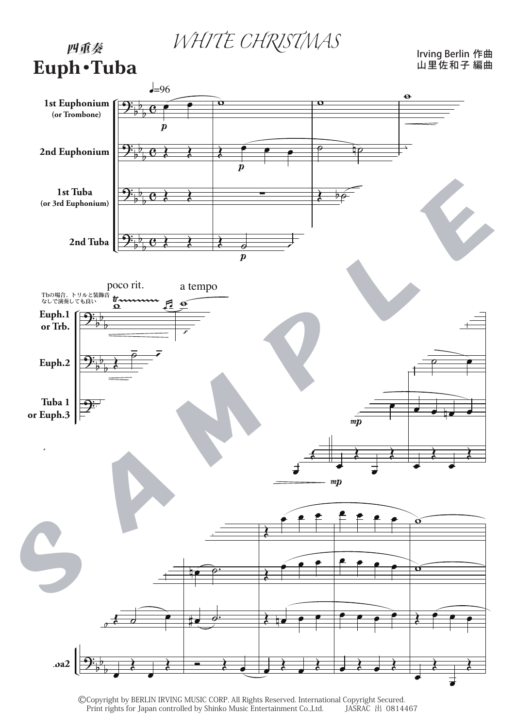WHITE CHRISTMAS

## 四重奏 Euph・Tuba

Irving Berlin 山里佐和子 作曲 編曲



©Copyright by BERLIN IRVING MUSIC CORP. All Rights Reserved. International Copyright Secured.<br>Print rights for Japan controlled by Shinko Music Entertainment Co.,Ltd. JASRAC 出 0814467 Print rights for Japan controlled by Shinko Music Entertainment Co.,Ltd.